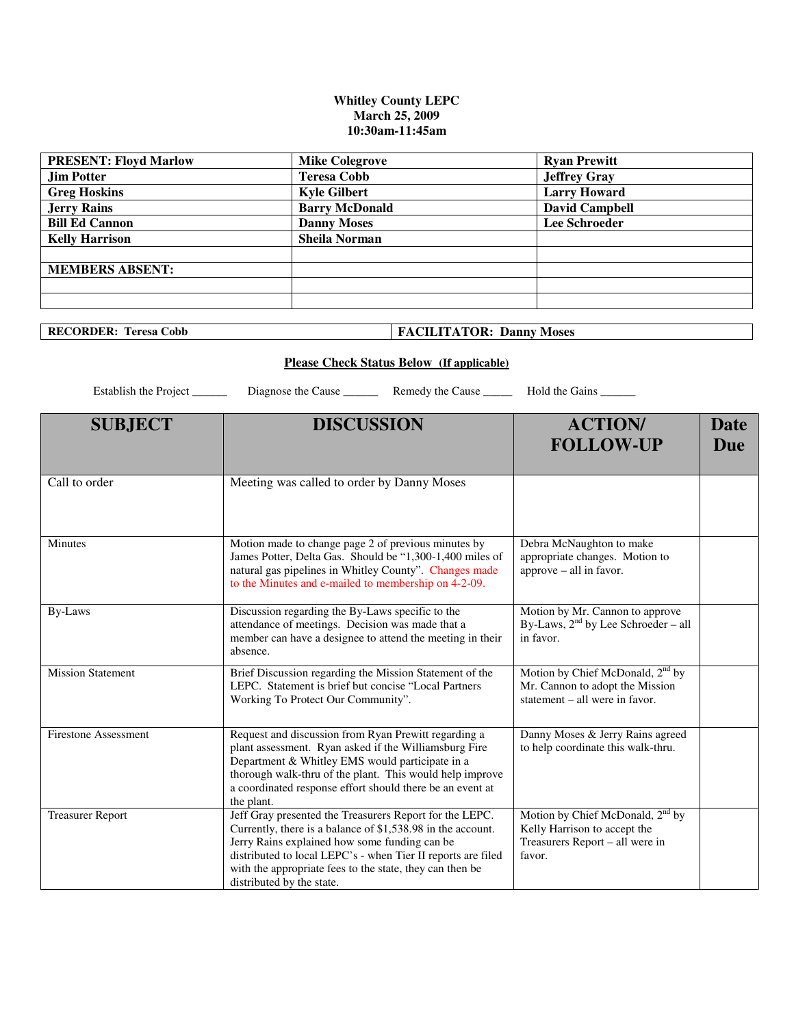## **Whitley County LEPC March 25, 2009 10:30am-11:45am**

| <b>PRESENT: Floyd Marlow</b> | <b>Mike Colegrove</b> | <b>Ryan Prewitt</b>   |
|------------------------------|-----------------------|-----------------------|
| <b>Jim Potter</b>            | <b>Teresa Cobb</b>    | <b>Jeffrey Gray</b>   |
| <b>Greg Hoskins</b>          | <b>Kyle Gilbert</b>   | <b>Larry Howard</b>   |
| <b>Jerry Rains</b>           | <b>Barry McDonald</b> | <b>David Campbell</b> |
| <b>Bill Ed Cannon</b>        | <b>Danny Moses</b>    | <b>Lee Schroeder</b>  |
| <b>Kelly Harrison</b>        | <b>Sheila Norman</b>  |                       |
|                              |                       |                       |
| <b>MEMBERS ABSENT:</b>       |                       |                       |
|                              |                       |                       |
|                              |                       |                       |

| RECORDER: Teresa Cobb | <b>FACILITATOR: Danny Moses</b> |
|-----------------------|---------------------------------|
|-----------------------|---------------------------------|

## **Please Check Status Below (If applicable)**

Establish the Project \_\_\_\_\_\_\_ Diagnose the Cause \_\_\_\_\_\_ Remedy the Cause \_\_\_\_\_ Hold the Gains \_\_\_\_\_

| <b>SUBJECT</b>              | <b>DISCUSSION</b>                                                                                                                                                                                                                                                                                                                | <b>ACTION/</b><br><b>FOLLOW-UP</b>                                                                                        | <b>Date</b><br>Due |
|-----------------------------|----------------------------------------------------------------------------------------------------------------------------------------------------------------------------------------------------------------------------------------------------------------------------------------------------------------------------------|---------------------------------------------------------------------------------------------------------------------------|--------------------|
| Call to order               | Meeting was called to order by Danny Moses                                                                                                                                                                                                                                                                                       |                                                                                                                           |                    |
| <b>Minutes</b>              | Motion made to change page 2 of previous minutes by<br>James Potter, Delta Gas. Should be "1,300-1,400 miles of<br>natural gas pipelines in Whitley County". Changes made<br>to the Minutes and e-mailed to membership on 4-2-09.                                                                                                | Debra McNaughton to make<br>appropriate changes. Motion to<br>approve – all in favor.                                     |                    |
| By-Laws                     | Discussion regarding the By-Laws specific to the<br>attendance of meetings. Decision was made that a<br>member can have a designee to attend the meeting in their<br>absence.                                                                                                                                                    | Motion by Mr. Cannon to approve<br>By-Laws, 2 <sup>nd</sup> by Lee Schroeder - all<br>in favor.                           |                    |
| <b>Mission Statement</b>    | Brief Discussion regarding the Mission Statement of the<br>LEPC. Statement is brief but concise "Local Partners<br>Working To Protect Our Community".                                                                                                                                                                            | Motion by Chief McDonald, 2 <sup>nd</sup> by<br>Mr. Cannon to adopt the Mission<br>statement – all were in favor.         |                    |
| <b>Firestone Assessment</b> | Request and discussion from Ryan Prewitt regarding a<br>plant assessment. Ryan asked if the Williamsburg Fire<br>Department & Whitley EMS would participate in a<br>thorough walk-thru of the plant. This would help improve<br>a coordinated response effort should there be an event at<br>the plant.                          | Danny Moses & Jerry Rains agreed<br>to help coordinate this walk-thru.                                                    |                    |
| <b>Treasurer Report</b>     | Jeff Gray presented the Treasurers Report for the LEPC.<br>Currently, there is a balance of \$1,538.98 in the account.<br>Jerry Rains explained how some funding can be<br>distributed to local LEPC's - when Tier II reports are filed<br>with the appropriate fees to the state, they can then be<br>distributed by the state. | Motion by Chief McDonald, 2 <sup>nd</sup> by<br>Kelly Harrison to accept the<br>Treasurers Report - all were in<br>favor. |                    |